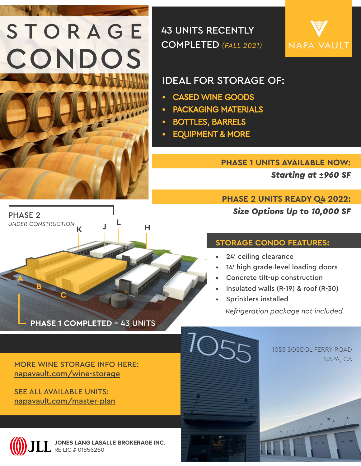# **STORAGE** CONDOS

43 UNITS RECENTLY COMPLETED *(FALL 2021)*



## IDEAL FOR STORAGE OF:

- • CASED WINE GOODS
- • PACKAGING MATERIALS
- • BOTTLES, BARRELS
- **EQUIPMENT & MORE**

#### **PHASE 1 UNITS AVAILABLE NOW:**

*Starting at* **±***960 SF* 

### **PHASE 2 UNITS READY Q4 2022:** *Size Options Up to 10,000 SF*

#### **STORAGE CONDO FEATURES:**

- 24' ceiling clearance
- 14' high grade-level loading doors
- Concrete tilt-up construction
- Insulated walls (R-19) & roof (R-30)
- Sprinklers installed

*Refrigeration package not included*

MORE WINE STORAGE INFO HERE: [napavault.com/wine-storage](http://napavault.com/wine-storage)

**PHASE 1 COMPLETED -** 43 UNITS

SEE ALL AVAILABLE UNITS: [napavault.com/master-plan](http://napavault.com/master-plan)

**C**

**A**

PHASE 2

**B**

*UNDER CONSTRUCTION*



**JONES LANG LASALLE BROKERAGE INC.**

**<sup>K</sup> <sup>J</sup> <sup>L</sup> <sup>H</sup>**

**TANARE** 



1055 SOSCOL FERRY ROAD NAPA, CA

**NAPAVAULT.COM**